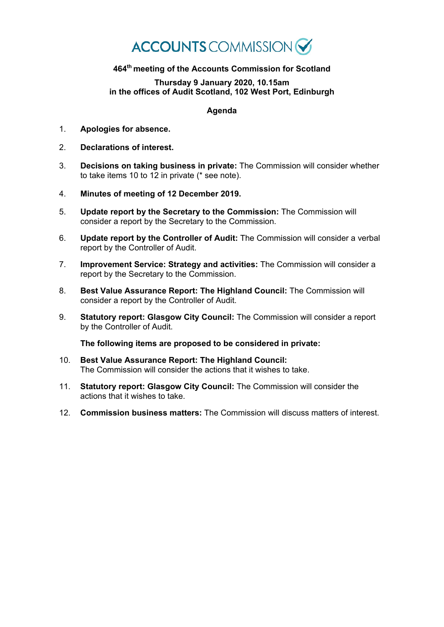## **ACCOUNTS** COMMISSION

## **464th meeting of the Accounts Commission for Scotland**

## **Thursday 9 January 2020, 10.15am in the offices of Audit Scotland, 102 West Port, Edinburgh**

## **Agenda**

- 1. **Apologies for absence.**
- 2. **Declarations of interest.**
- 3. **Decisions on taking business in private:** The Commission will consider whether to take items 10 to 12 in private (\* see note).
- 4. **Minutes of meeting of 12 December 2019.**
- 5. **Update report by the Secretary to the Commission:** The Commission will consider a report by the Secretary to the Commission.
- 6. **Update report by the Controller of Audit:** The Commission will consider a verbal report by the Controller of Audit.
- 7. **Improvement Service: Strategy and activities:** The Commission will consider a report by the Secretary to the Commission.
- 8. **Best Value Assurance Report: The Highland Council:** The Commission will consider a report by the Controller of Audit.
- 9. **Statutory report: Glasgow City Council:** The Commission will consider a report by the Controller of Audit.

**The following items are proposed to be considered in private:**

- 10. **Best Value Assurance Report: The Highland Council:** The Commission will consider the actions that it wishes to take.
- 11. **Statutory report: Glasgow City Council:** The Commission will consider the actions that it wishes to take.
- 12. **Commission business matters:** The Commission will discuss matters of interest.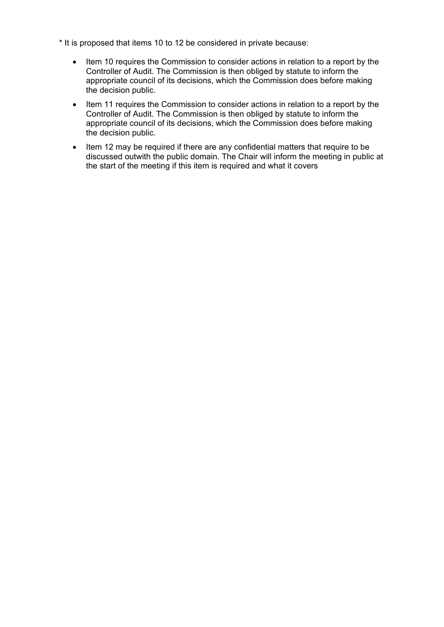- \* It is proposed that items 10 to 12 be considered in private because:
	- Item 10 requires the Commission to consider actions in relation to a report by the Controller of Audit. The Commission is then obliged by statute to inform the appropriate council of its decisions, which the Commission does before making the decision public.
	- Item 11 requires the Commission to consider actions in relation to a report by the Controller of Audit. The Commission is then obliged by statute to inform the appropriate council of its decisions, which the Commission does before making the decision public.
	- Item 12 may be required if there are any confidential matters that require to be discussed outwith the public domain. The Chair will inform the meeting in public at the start of the meeting if this item is required and what it covers